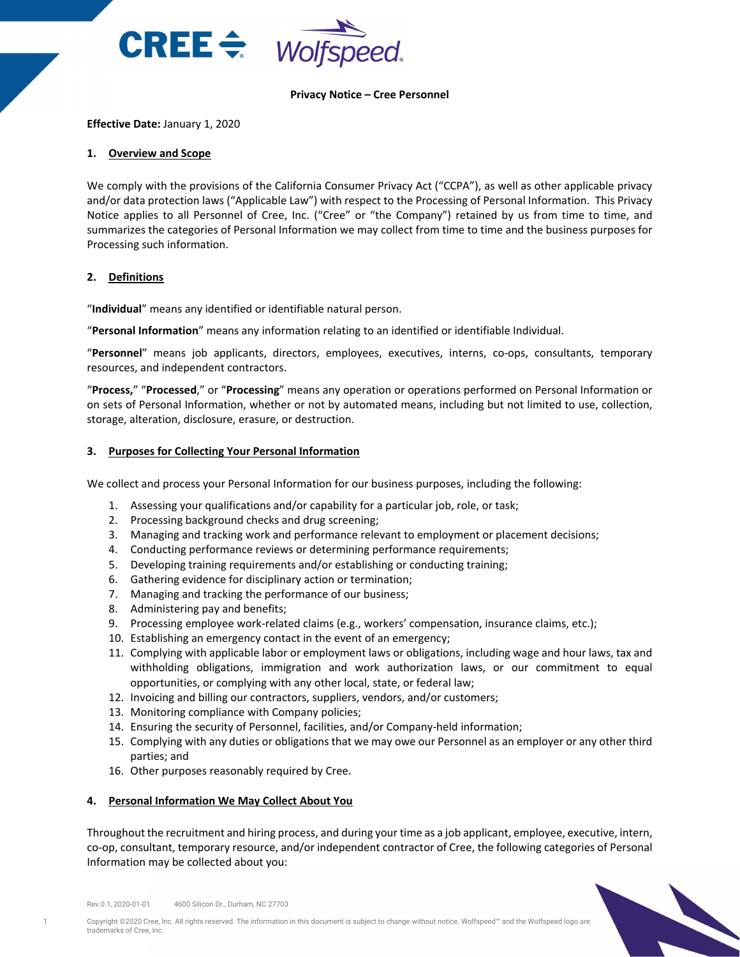

### **Privacy Notice – Cree Personnel**

### **Effective Date:** January 1, 2020

### **1. Overview and Scope**

We comply with the provisions of the California Consumer Privacy Act ("CCPA"), as well as other applicable privacy and/or data protection laws ("Applicable Law") with respect to the Processing of Personal Information. This Privacy Notice applies to all Personnel of Cree, Inc. ("Cree" or "the Company") retained by us from time to time, and summarizes the categories of Personal Information we may collect from time to time and the business purposes for Processing such information.

## **2. Definitions**

"**Individual**" means any identified or identifiable natural person.

"**Personal Information**" means any information relating to an identified or identifiable Individual.

"**Personnel**" means job applicants, directors, employees, executives, interns, co-ops, consultants, temporary resources, and independent contractors.

"**Process,**" "**Processed**," or "**Processing**" means any operation or operations performed on Personal Information or on sets of Personal Information, whether or not by automated means, including but not limited to use, collection, storage, alteration, disclosure, erasure, or destruction.

## **3. Purposes for Collecting Your Personal Information**

We collect and process your Personal Information for our business purposes, including the following:

- 1. Assessing your qualifications and/or capability for a particular job, role, or task;
- 2. Processing background checks and drug screening;
- 3. Managing and tracking work and performance relevant to employment or placement decisions;
- 4. Conducting performance reviews or determining performance requirements;
- 5. Developing training requirements and/or establishing or conducting training;
- 6. Gathering evidence for disciplinary action or termination;
- 7. Managing and tracking the performance of our business;
- 8. Administering pay and benefits;
- 9. Processing employee work-related claims (e.g., workers' compensation, insurance claims, etc.);
- 10. Establishing an emergency contact in the event of an emergency;
- 11. Complying with applicable labor or employment laws or obligations, including wage and hour laws, tax and withholding obligations, immigration and work authorization laws, or our commitment to equal opportunities, or complying with any other local, state, or federal law;
- 12. Invoicing and billing our contractors, suppliers, vendors, and/or customers;
- 13. Monitoring compliance with Company policies;
- 14. Ensuring the security of Personnel, facilities, and/or Company-held information;
- 15. Complying with any duties or obligations that we may owe our Personnel as an employer or any other third parties; and
- 16. Other purposes reasonably required by Cree.

# **4. Personal Information We May Collect About You**

Throughout the recruitment and hiring process, and during your time as a job applicant, employee, executive, intern, co-op, consultant, temporary resource, and/or independent contractor of Cree, the following categories of Personal Information may be collected about you:



Rev.0.1, 2020-01-01 4600 Silicon Dr., Durham, NC 27703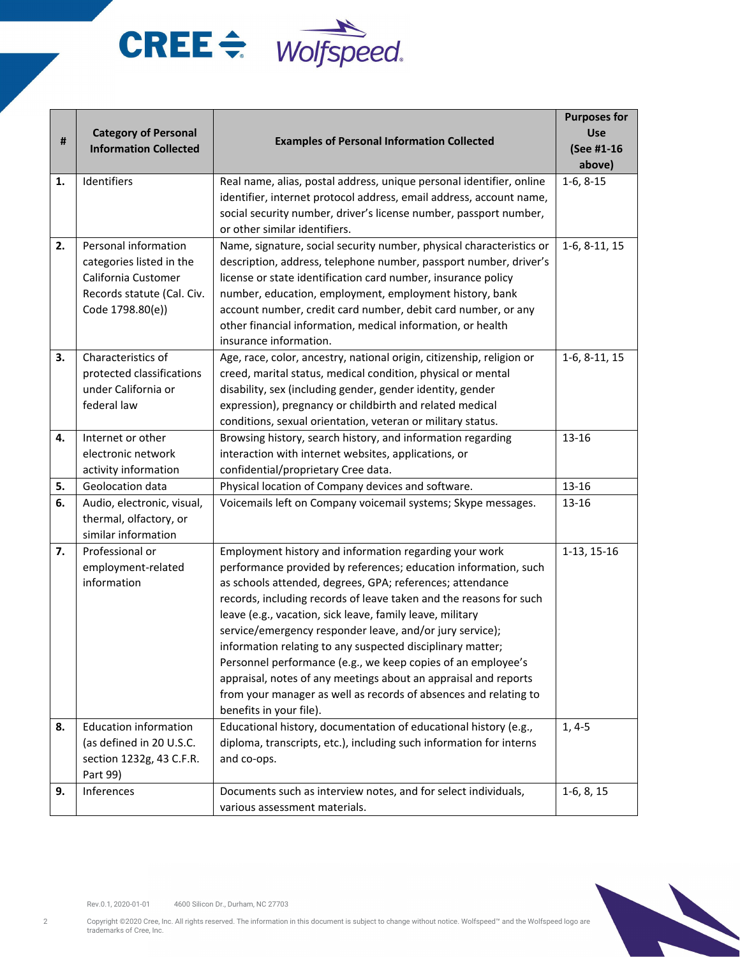# $CREE \Leftrightarrow$  Wolfspeed.

| #        | <b>Category of Personal</b>                                                                                               | <b>Examples of Personal Information Collected</b>                                                                                                                                                                                                                                                                                                                                                                                                                                                                                                                                                                                                                                                                                                                                                                                | <b>Purposes for</b><br><b>Use</b> |
|----------|---------------------------------------------------------------------------------------------------------------------------|----------------------------------------------------------------------------------------------------------------------------------------------------------------------------------------------------------------------------------------------------------------------------------------------------------------------------------------------------------------------------------------------------------------------------------------------------------------------------------------------------------------------------------------------------------------------------------------------------------------------------------------------------------------------------------------------------------------------------------------------------------------------------------------------------------------------------------|-----------------------------------|
|          | <b>Information Collected</b>                                                                                              |                                                                                                                                                                                                                                                                                                                                                                                                                                                                                                                                                                                                                                                                                                                                                                                                                                  | (See #1-16<br>above)              |
| 1.       | Identifiers                                                                                                               | Real name, alias, postal address, unique personal identifier, online<br>identifier, internet protocol address, email address, account name,<br>social security number, driver's license number, passport number,                                                                                                                                                                                                                                                                                                                                                                                                                                                                                                                                                                                                                 | $1-6, 8-15$                       |
| 2.       | Personal information<br>categories listed in the<br>California Customer<br>Records statute (Cal. Civ.<br>Code 1798.80(e)) | or other similar identifiers.<br>Name, signature, social security number, physical characteristics or<br>description, address, telephone number, passport number, driver's<br>license or state identification card number, insurance policy<br>number, education, employment, employment history, bank<br>account number, credit card number, debit card number, or any<br>other financial information, medical information, or health<br>insurance information.                                                                                                                                                                                                                                                                                                                                                                 | 1-6, 8-11, 15                     |
| 3.       | Characteristics of<br>protected classifications<br>under California or<br>federal law                                     | Age, race, color, ancestry, national origin, citizenship, religion or<br>creed, marital status, medical condition, physical or mental<br>disability, sex (including gender, gender identity, gender<br>expression), pregnancy or childbirth and related medical<br>conditions, sexual orientation, veteran or military status.                                                                                                                                                                                                                                                                                                                                                                                                                                                                                                   | $1-6, 8-11, 15$                   |
| 4.       | Internet or other<br>electronic network<br>activity information                                                           | Browsing history, search history, and information regarding<br>interaction with internet websites, applications, or<br>confidential/proprietary Cree data.                                                                                                                                                                                                                                                                                                                                                                                                                                                                                                                                                                                                                                                                       | 13-16                             |
| 5.       | Geolocation data                                                                                                          | Physical location of Company devices and software.                                                                                                                                                                                                                                                                                                                                                                                                                                                                                                                                                                                                                                                                                                                                                                               | 13-16                             |
| 6.       | Audio, electronic, visual,<br>thermal, olfactory, or<br>similar information                                               | Voicemails left on Company voicemail systems; Skype messages.                                                                                                                                                                                                                                                                                                                                                                                                                                                                                                                                                                                                                                                                                                                                                                    | 13-16                             |
| 7.<br>8. | Professional or<br>employment-related<br>information<br><b>Education information</b><br>(as defined in 20 U.S.C.          | Employment history and information regarding your work<br>performance provided by references; education information, such<br>as schools attended, degrees, GPA; references; attendance<br>records, including records of leave taken and the reasons for such<br>leave (e.g., vacation, sick leave, family leave, military<br>service/emergency responder leave, and/or jury service);<br>information relating to any suspected disciplinary matter;<br>Personnel performance (e.g., we keep copies of an employee's<br>appraisal, notes of any meetings about an appraisal and reports<br>from your manager as well as records of absences and relating to<br>benefits in your file).<br>Educational history, documentation of educational history (e.g.,<br>diploma, transcripts, etc.), including such information for interns | 1-13, 15-16<br>$1, 4-5$           |
|          | section 1232g, 43 C.F.R.<br>Part 99)                                                                                      | and co-ops.                                                                                                                                                                                                                                                                                                                                                                                                                                                                                                                                                                                                                                                                                                                                                                                                                      |                                   |
| 9.       | Inferences                                                                                                                | Documents such as interview notes, and for select individuals,<br>various assessment materials.                                                                                                                                                                                                                                                                                                                                                                                                                                                                                                                                                                                                                                                                                                                                  | $1-6, 8, 15$                      |



Rev.0.1, 2020-01-01 4600 Silicon Dr., Durham, NC 27703